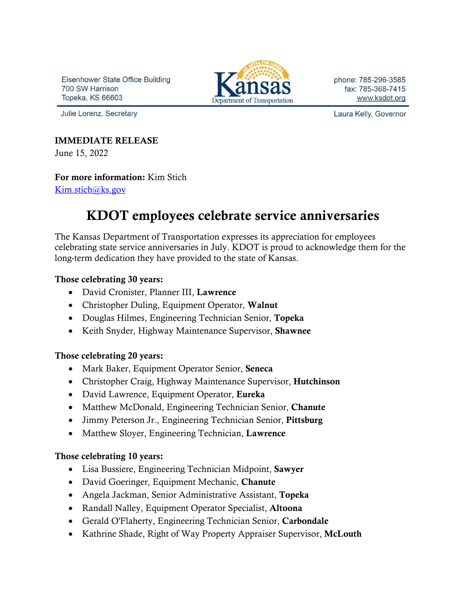Eisenhower State Office Building 700 SW Harrison **Topeka, KS 66603** 

Julie Lorenz, Secretary



phone: 785-296-3585 fax: 785-368-7415 www.ksdot.org

Laura Kelly, Governor

#### IMMEDIATE RELEASE

June 15, 2022

## For more information: Kim Stich

[Kim.stich@ks.gov](mailto:Kim.stich@ks.gov)

# KDOT employees celebrate service anniversaries

The Kansas Department of Transportation expresses its appreciation for employees celebrating state service anniversaries in July. KDOT is proud to acknowledge them for the long-term dedication they have provided to the state of Kansas.

### Those celebrating 30 years:

- David Cronister, Planner III, Lawrence
- Christopher Duling, Equipment Operator, Walnut
- Douglas Hilmes, Engineering Technician Senior, Topeka
- Keith Snyder, Highway Maintenance Supervisor, Shawnee

### Those celebrating 20 years:

- Mark Baker, Equipment Operator Senior, Seneca
- Christopher Craig, Highway Maintenance Supervisor, Hutchinson
- David Lawrence, Equipment Operator, Eureka
- Matthew McDonald, Engineering Technician Senior, Chanute
- Jimmy Peterson Jr., Engineering Technician Senior, Pittsburg
- Matthew Sloyer, Engineering Technician, Lawrence

### Those celebrating 10 years:

- Lisa Bussiere, Engineering Technician Midpoint, Sawyer
- David Goeringer, Equipment Mechanic, Chanute
- Angela Jackman, Senior Administrative Assistant, Topeka
- Randall Nalley, Equipment Operator Specialist, Altoona
- Gerald O'Flaherty, Engineering Technician Senior, Carbondale
- Kathrine Shade, Right of Way Property Appraiser Supervisor, McLouth